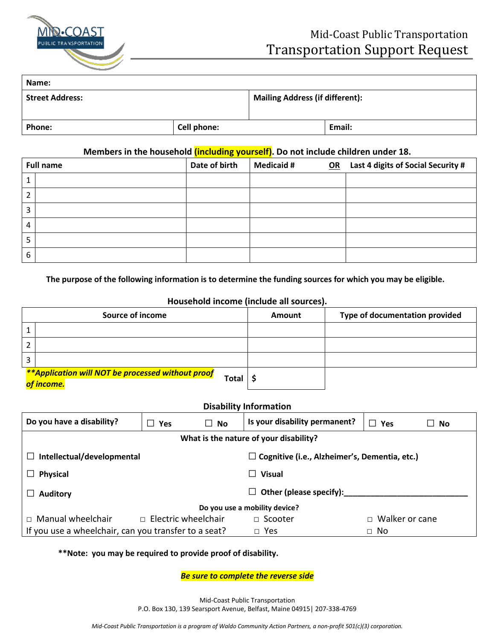

## Mid-Coast Public Transportation Transportation Support Request

| Name:                  |             |                                        |        |
|------------------------|-------------|----------------------------------------|--------|
| <b>Street Address:</b> |             | <b>Mailing Address (if different):</b> |        |
| <b>Phone:</b>          | Cell phone: |                                        | Email: |

## **Members in the household (including yourself). Do not include children under 18.**

| <b>Full name</b> | Date of birth | <b>Medicaid #</b> | OR Last 4 digits of Social Security # |
|------------------|---------------|-------------------|---------------------------------------|
|                  |               |                   |                                       |
| າ                |               |                   |                                       |
| 3                |               |                   |                                       |
| 4                |               |                   |                                       |
| ⊐                |               |                   |                                       |
| 6                |               |                   |                                       |

**The purpose of the following information is to determine the funding sources for which you may be eligible.**

## **Household income (include all sources).**

|   | Source of income                                                                | Amount | Type of documentation provided |
|---|---------------------------------------------------------------------------------|--------|--------------------------------|
|   |                                                                                 |        |                                |
|   |                                                                                 |        |                                |
| 3 |                                                                                 |        |                                |
|   | **Application will NOT be processed without proof<br><b>Total</b><br>of income. |        |                                |

| <b>Disability Information</b>                                                                 |                            |                                    |                         |  |
|-----------------------------------------------------------------------------------------------|----------------------------|------------------------------------|-------------------------|--|
| Do you have a disability?                                                                     | $\Box$ No<br>$\Box$ Yes    | Is your disability permanent?      | $\Box$ Yes<br>$\Box$ No |  |
| What is the nature of your disability?                                                        |                            |                                    |                         |  |
| Intellectual/developmental<br>$\Box$ Cognitive (i.e., Alzheimer's, Dementia, etc.)<br>$\perp$ |                            |                                    |                         |  |
| <b>Physical</b>                                                                               |                            | <b>Visual</b>                      |                         |  |
| <b>Auditory</b>                                                                               |                            | Other (please specify):<br>$\perp$ |                         |  |
| Do you use a mobility device?                                                                 |                            |                                    |                         |  |
| $\Box$ Manual wheelchair                                                                      | $\Box$ Electric wheelchair | $\Box$ Scooter                     | $\Box$ Walker or cane   |  |
| If you use a wheelchair, can you transfer to a seat?<br>$\Box$ Yes<br>∩ No                    |                            |                                    |                         |  |

## **\*\*Note: you may be required to provide proof of disability.**

*Be sure to complete the reverse side*

Mid-Coast Public Transportation P.O. Box 130, 139 Searsport Avenue, Belfast, Maine 04915| 207-338-4769